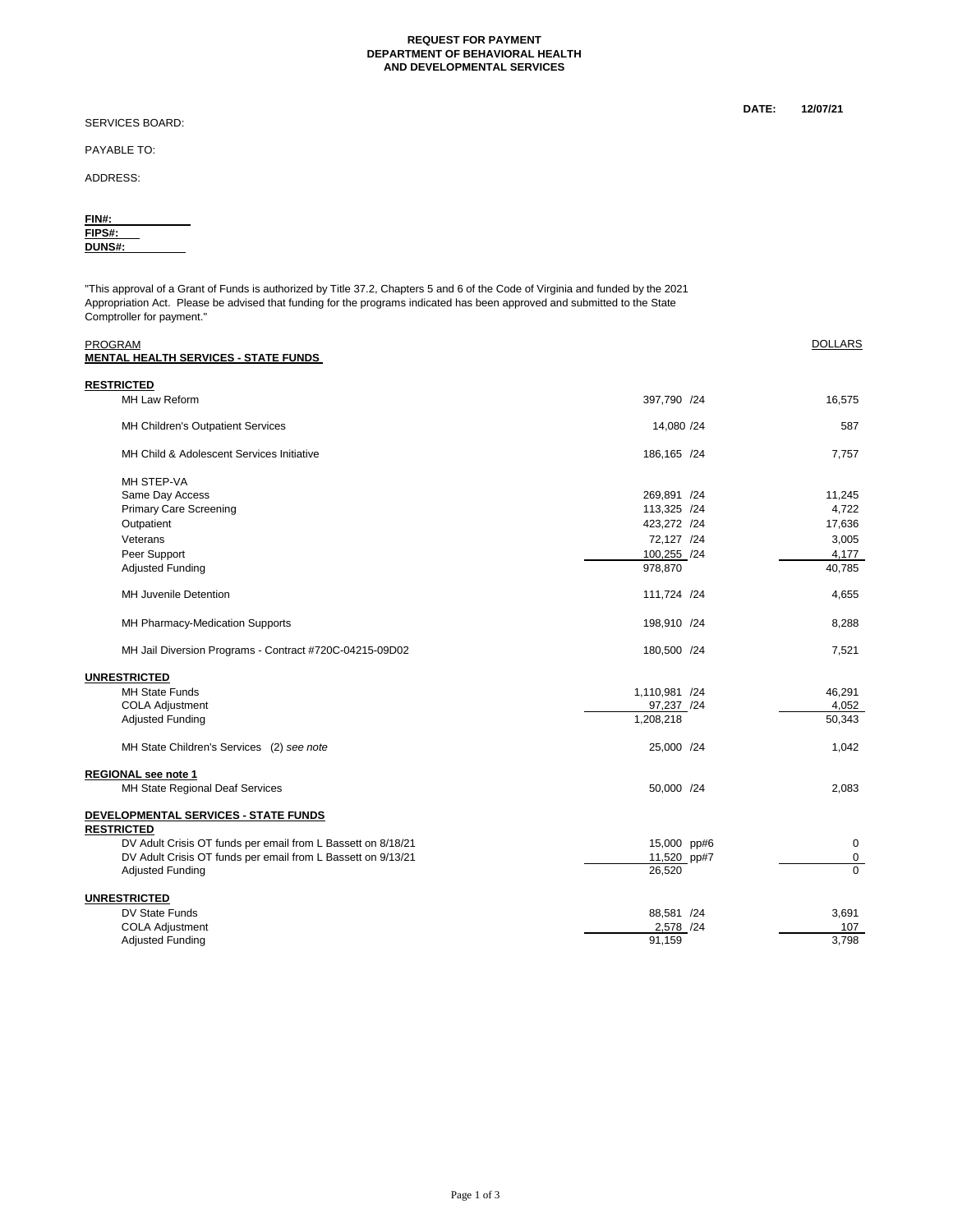#### **REQUEST FOR PAYMENT DEPARTMENT OF BEHAVIORAL HEALTH AND DEVELOPMENTAL SERVICES**

SERVICES BOARD:

PAYABLE TO:

ADDRESS:

| FIN#:         |  |
|---------------|--|
| FIPS#:        |  |
| <b>DUNS#:</b> |  |
|               |  |

"This approval of a Grant of Funds is authorized by Title 37.2, Chapters 5 and 6 of the Code of Virginia and funded by the 2021 Appropriation Act. Please be advised that funding for the programs indicated has been approved and submitted to the State Comptroller for payment."

| <b>PROGRAM</b>                                               |               | <b>DOLLARS</b> |
|--------------------------------------------------------------|---------------|----------------|
| <b>MENTAL HEALTH SERVICES - STATE FUNDS</b>                  |               |                |
| <b>RESTRICTED</b>                                            |               |                |
| <b>MH Law Reform</b>                                         | 397.790 /24   | 16.575         |
| MH Children's Outpatient Services                            | 14,080 /24    | 587            |
| MH Child & Adolescent Services Initiative                    | 186,165 /24   | 7,757          |
| MH STEP-VA                                                   |               |                |
| Same Day Access                                              | 269,891 /24   | 11.245         |
| <b>Primary Care Screening</b>                                | 113,325 /24   | 4,722          |
| Outpatient                                                   | 423,272 /24   | 17,636         |
| Veterans                                                     | 72,127 /24    | 3,005          |
| Peer Support                                                 | 100,255 /24   | 4,177          |
| <b>Adjusted Funding</b>                                      | 978,870       | 40,785         |
| <b>MH Juvenile Detention</b>                                 | 111,724 /24   | 4,655          |
| MH Pharmacy-Medication Supports                              | 198,910 /24   | 8,288          |
| MH Jail Diversion Programs - Contract #720C-04215-09D02      | 180,500 /24   | 7,521          |
| <b>UNRESTRICTED</b>                                          |               |                |
| <b>MH State Funds</b>                                        | 1,110,981 /24 | 46.291         |
| <b>COLA Adjustment</b>                                       | 97,237 /24    | 4,052          |
| <b>Adjusted Funding</b>                                      | 1,208,218     | 50,343         |
| MH State Children's Services (2) see note                    | 25,000 /24    | 1.042          |
| REGIONAL see note 1                                          |               |                |
| MH State Regional Deaf Services                              | 50,000 /24    | 2.083          |
| DEVELOPMENTAL SERVICES - STATE FUNDS                         |               |                |
| <b>RESTRICTED</b>                                            |               |                |
| DV Adult Crisis OT funds per email from L Bassett on 8/18/21 | 15,000 pp#6   | $\mathbf 0$    |
| DV Adult Crisis OT funds per email from L Bassett on 9/13/21 | 11,520 pp#7   | 0              |
| <b>Adjusted Funding</b>                                      | 26,520        | $\Omega$       |
| <b>UNRESTRICTED</b>                                          |               |                |
| DV State Funds                                               | 88,581 /24    | 3,691          |
| <b>COLA Adjustment</b>                                       | 2,578 /24     | 107            |
| <b>Adjusted Funding</b>                                      | 91,159        | 3,798          |

**DATE: 12/07/21**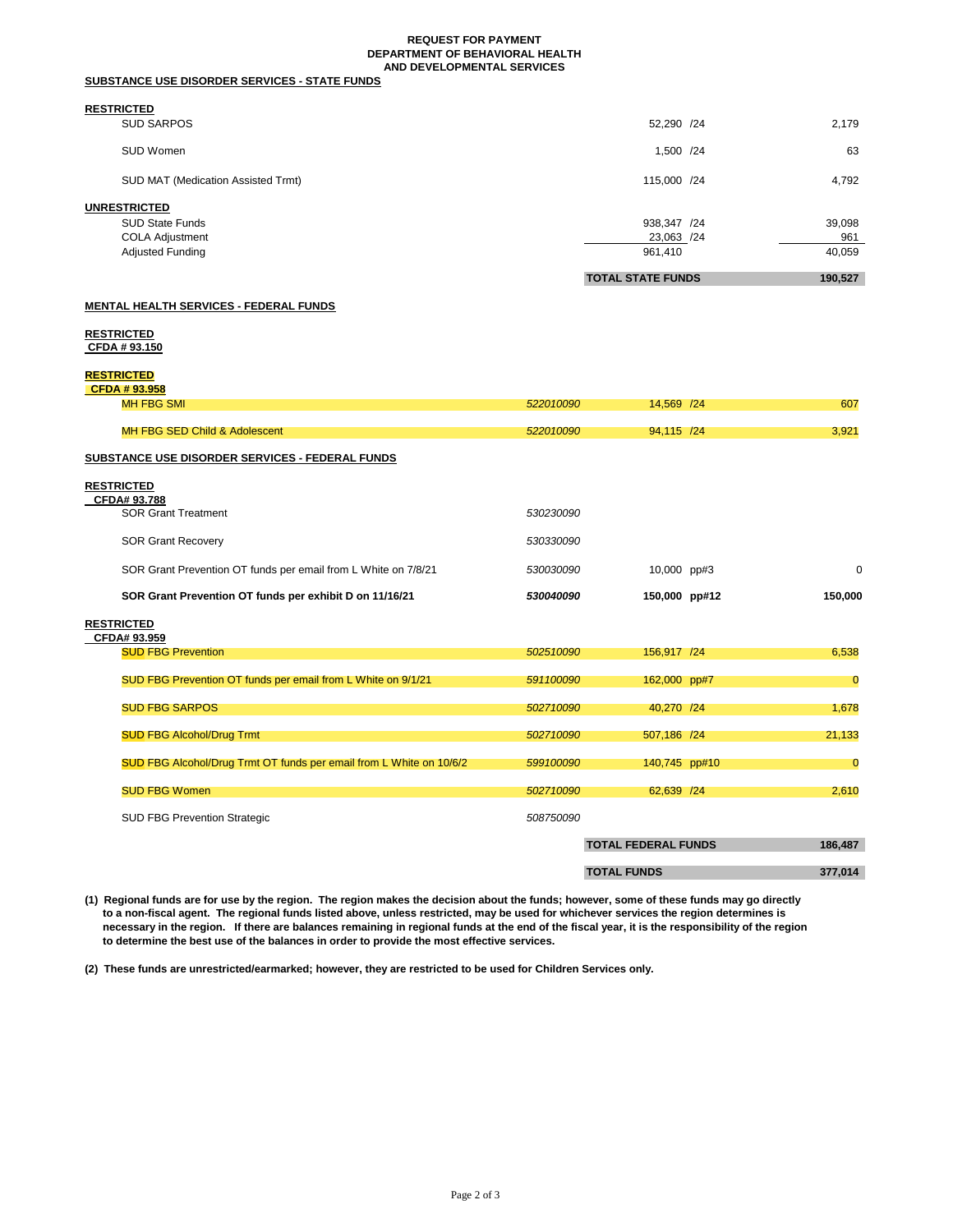#### **REQUEST FOR PAYMENT DEPARTMENT OF BEHAVIORAL HEALTH AND DEVELOPMENTAL SERVICES**

| <b>SUBSTANCE USE DISORDER SERVICES - STATE FUNDS</b> |
|------------------------------------------------------|
|------------------------------------------------------|

# **RESTRICTED**

|                                    | <b>TOTAL STATE FUNDS</b> | 190.527 |
|------------------------------------|--------------------------|---------|
| Adjusted Funding                   | 961,410                  | 40,059  |
| <b>COLA Adjustment</b>             | 23,063 /24               | 961     |
| <b>SUD State Funds</b>             | 938,347 /24              | 39,098  |
| UNRESTRICTED                       |                          |         |
| SUD MAT (Medication Assisted Trmt) | 115,000 /24              | 4.792   |
| SUD Women                          | 1,500 /24                | 63      |
| -----------<br><b>SUD SARPOS</b>   | 52,290 /24               | 2,179   |

## **MENTAL HEALTH SERVICES - FEDERAL FUNDS**

### **RESTRICTED CFDA # 93.150**

## **RESTRICTED**

| ,,,,,,,,,,,,,,,                                                     |           |               |                |
|---------------------------------------------------------------------|-----------|---------------|----------------|
| CFDA #93.958                                                        |           |               |                |
| <b>MH FBG SMI</b>                                                   | 522010090 | 14,569 /24    | 607            |
|                                                                     |           |               |                |
| MH FBG SED Child & Adolescent                                       | 522010090 | 94,115 /24    | 3,921          |
|                                                                     |           |               |                |
| SUBSTANCE USE DISORDER SERVICES - FEDERAL FUNDS                     |           |               |                |
|                                                                     |           |               |                |
| <b>RESTRICTED</b>                                                   |           |               |                |
| CFDA# 93.788                                                        |           |               |                |
| <b>SOR Grant Treatment</b>                                          | 530230090 |               |                |
|                                                                     |           |               |                |
| <b>SOR Grant Recovery</b>                                           | 530330090 |               |                |
|                                                                     |           |               |                |
| SOR Grant Prevention OT funds per email from L White on 7/8/21      | 530030090 | 10,000 pp#3   | $\Omega$       |
|                                                                     |           |               |                |
| SOR Grant Prevention OT funds per exhibit D on 11/16/21             | 530040090 | 150,000 pp#12 | 150,000        |
|                                                                     |           |               |                |
| <b>RESTRICTED</b>                                                   |           |               |                |
| CFDA# 93.959                                                        |           |               |                |
| <b>SUD FBG Prevention</b>                                           | 502510090 | 156,917 /24   | 6,538          |
|                                                                     |           |               |                |
| SUD FBG Prevention OT funds per email from L White on 9/1/21        | 591100090 | 162,000 pp#7  | $\mathbf 0$    |
|                                                                     |           |               |                |
| <b>SUD FBG SARPOS</b>                                               | 502710090 | 40,270 /24    | 1,678          |
|                                                                     |           |               |                |
| <b>SUD FBG Alcohol/Drug Trmt</b>                                    | 502710090 | 507,186 /24   | 21,133         |
|                                                                     |           |               |                |
| SUD FBG Alcohol/Drug Trmt OT funds per email from L White on 10/6/2 | 599100090 | 140,745 pp#10 | $\overline{0}$ |
|                                                                     |           |               |                |
| <b>SUD FBG Women</b>                                                | 502710090 | 62,639 /24    | 2,610          |
|                                                                     |           |               |                |
| <b>SUD FBG Prevention Strategic</b>                                 | 508750090 |               |                |
|                                                                     |           |               |                |

**TOTAL FEDERAL FUNDS 186,487 TOTAL FUNDS 377,014 (1) Regional funds are for use by the region. The region makes the decision about the funds; however, some of these funds may go directly** 

**to a non-fiscal agent. The regional funds listed above, unless restricted, may be used for whichever services the region determines is necessary in the region. If there are balances remaining in regional funds at the end of the fiscal year, it is the responsibility of the region to determine the best use of the balances in order to provide the most effective services.** 

**(2) These funds are unrestricted/earmarked; however, they are restricted to be used for Children Services only.**